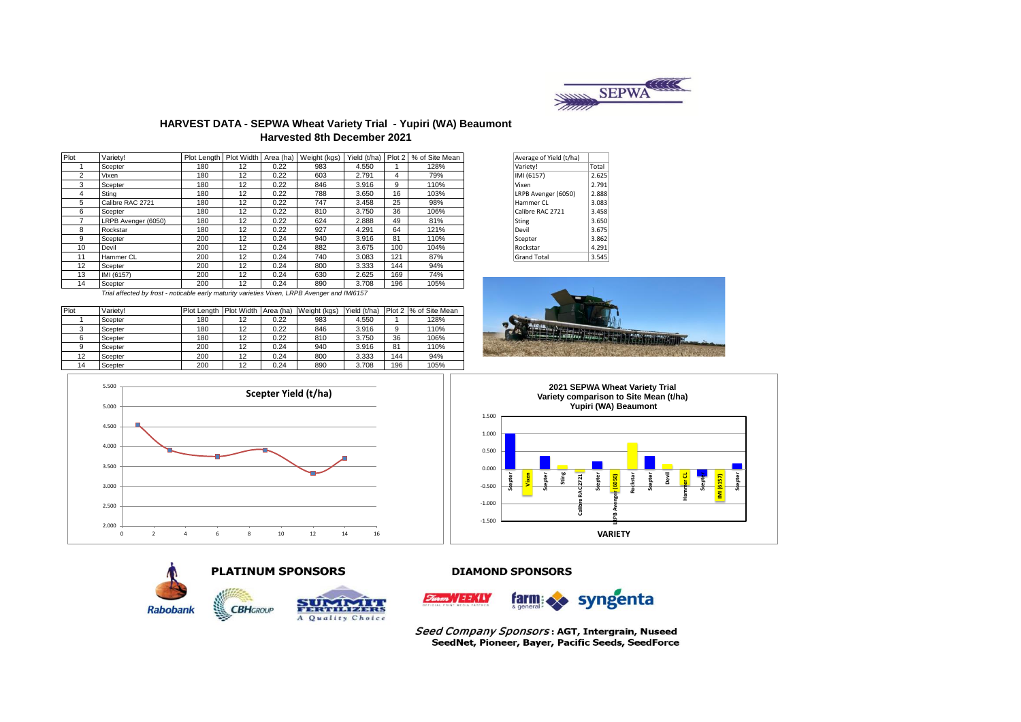

### **HARVEST DATA - SEPWA Wheat Variety Trial - Yupiri (WA) Beaumont Harvested 8th December 2021**

| Plot | Varietv!                                                                                     | Plot Lenath | Plot Width |      | Area (ha) Weight (kgs) |       |     | Yield (t/ha) Plot 2 % of Site Mean | Average of Yield (t/ha) |       |
|------|----------------------------------------------------------------------------------------------|-------------|------------|------|------------------------|-------|-----|------------------------------------|-------------------------|-------|
|      | Scepter                                                                                      | 180         | 12         | 0.22 | 983                    | 4.550 |     | 128%                               | Variety!                | Total |
| 2    | Vixen                                                                                        | 180         | 12         | 0.22 | 603                    | 2.791 | 4   | 79%                                | IMI (6157)              | 2.625 |
| 3    | Scepter                                                                                      | 180         | 12         | 0.22 | 846                    | 3.916 | 9   | 110%                               | Vixen                   | 2.791 |
| 4    | Sting                                                                                        | 180         | 12         | 0.22 | 788                    | 3.650 | 16  | 103%                               | LRPB Avenger (6050)     | 2.888 |
| 5    | Calibre RAC 2721                                                                             | 180         | 12         | 0.22 | 747                    | 3.458 | 25  | 98%                                | Hammer CL               | 3.083 |
| 6    | Scepter                                                                                      | 180         | 12         | 0.22 | 810                    | 3.750 | 36  | 106%                               | Calibre RAC 2721        | 3.458 |
|      | LRPB Avenger (6050)                                                                          | 180         | 12         | 0.22 | 624                    | 2.888 | 49  | 81%                                | Sting                   | 3.650 |
| 8    | Rockstar                                                                                     | 180         | 12         | 0.22 | 927                    | 4.291 | 64  | 121%                               | Devil                   | 3.675 |
| 9    | Scepter                                                                                      | 200         | 12         | 0.24 | 940                    | 3.916 | 81  | 110%                               | Scepter                 | 3.862 |
| 10   | Devil                                                                                        | 200         | 12         | 0.24 | 882                    | 3.675 | 100 | 104%                               | Rockstar                | 4.291 |
| 11   | Hammer CL                                                                                    | 200         | 12         | 0.24 | 740                    | 3.083 | 121 | 87%                                | <b>Grand Total</b>      | 3.545 |
| 12   | Scepter                                                                                      | 200         | 12         | 0.24 | 800                    | 3.333 | 144 | 94%                                |                         |       |
| 13   | IMI (6157)                                                                                   | 200         | 12         | 0.24 | 630                    | 2.625 | 169 | 74%                                |                         |       |
| 14   | Scepter                                                                                      | 200         | 12         | 0.24 | 890                    | 3.708 | 196 | 105%                               |                         |       |
|      | Trial affected by frost - noticable early maturity varieties Vixen, LRPB Avenger and IMI6157 |             |            |      |                        |       |     |                                    |                         |       |

Plot Variety! Plot Length Plot Width Area (ha) Weight (kgs) Yield (t/ha) Plot 2 % of Site Mean 1 Scepter 180 12 0.22 983 4.550 1 128% 3 Scepter 180 12 0.22 846 3.916 9 110% 6 Scepter 180 12 0.22 810 3.750 36 106% 9 Scepter 200 12 0.24 940 3.916 81 110% 12 Scepter | 200 | 12 | 0.24 | 800 | 3.333 | 144 | 94%

| Average of Yield (t/ha) |       |
|-------------------------|-------|
| Variety!                | Total |
| IMI (6157)              | 2.625 |
| Vixen                   | 2.791 |
| LRPB Avenger (6050)     | 2.888 |
| Hammer CL               | 3.083 |
| Calibre RAC 2721        | 3.458 |
| Sting                   | 3.650 |
| Devil                   | 3.675 |
| Scepter                 | 3.862 |
| Rockstar                | 4.291 |
| <b>Grand Total</b>      | 3.545 |









#### **DIAMOND SPONSORS**



Seed Company Sponsors: AGT, Intergrain, Nuseed SeedNet, Pioneer, Bayer, Pacific Seeds, SeedForce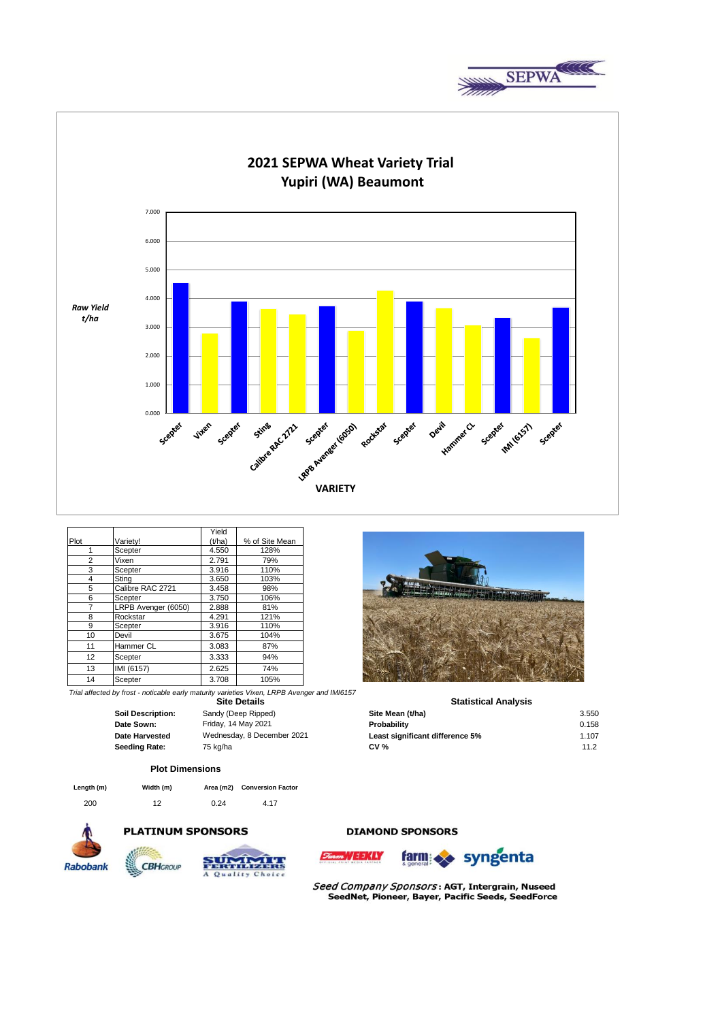



|                   |                     | Yield  |                |
|-------------------|---------------------|--------|----------------|
| Plot              | Variety!            | (t/ha) | % of Site Mean |
| 1                 | Scepter             | 4.550  | 128%           |
| 2                 | Vixen               | 2.791  | 79%            |
| 3                 | Scepter             | 3.916  | 110%           |
| 4                 | Stina               | 3.650  | 103%           |
| 5                 | Calibre RAC 2721    | 3.458  | 98%            |
| 6                 | Scepter             | 3.750  | 106%           |
| 7                 | LRPB Avenger (6050) | 2.888  | 81%            |
| 8                 | Rockstar            | 4.291  | 121%           |
| 9                 | Scepter             | 3.916  | 110%           |
| 10                | Devil               | 3.675  | 104%           |
| 11                | Hammer CL           | 3.083  | 87%            |
| $12 \overline{ }$ | Scepter             | 3.333  | 94%            |
| 13                | IMI (6157)          | 2.625  | 74%            |
| 14                | Scepter             | 3.708  | 105%           |

*Trial affected by frost - noticable early maturity varieties Vixen, LRPB Avenger and IMI6157* **Site Details**

|                          | <b>Site Details</b> |
|--------------------------|---------------------|
| <b>Soil Description:</b> | Sandy (Deep Ripped) |
| Date Sown:               | Friday, 14 May 2021 |
| <b>Date Harvested</b>    | Wednesday, 8 Decem  |
| <b>Seeding Rate:</b>     | 75 kg/ha            |

## **Plot Dimensions**

Length (m) **Width (m)** 

200 12 0.24 4.17







**Conversion Factor**

## **DIAMOND SPONSORS**





Seed Company Sponsors: AGT, Intergrain, Nuseed SeedNet, Pioneer, Bayer, Pacific Seeds, SeedForce



#### **Statistical Analysis**

|                       | --------------             | ________________________        |       |  |  |
|-----------------------|----------------------------|---------------------------------|-------|--|--|
| Soil Description:     | Sandy (Deep Ripped)        | Site Mean (t/ha)                | 3.550 |  |  |
| Date Sown:            | Friday, 14 May 2021        | Probability                     | 0.158 |  |  |
| <b>Date Harvested</b> | Wednesday, 8 December 2021 | Least significant difference 5% | 1.107 |  |  |
| Seeding Rate:         | 75 ka/ha                   | CV %                            | 11.2  |  |  |